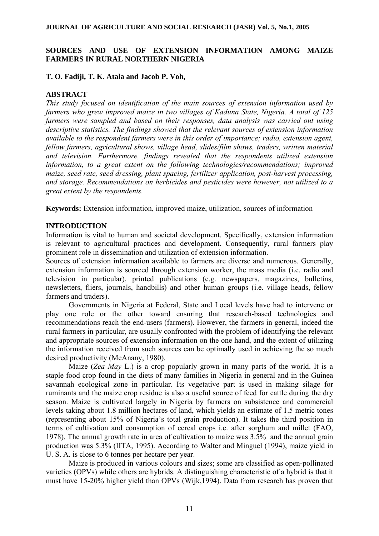# **SOURCES AND USE OF EXTENSION INFORMATION AMONG MAIZE FARMERS IN RURAL NORTHERN NIGERIA**

### **T. O. Fadiji, T. K. Atala and Jacob P. Voh,**

## **ABSTRACT**

*This study focused on identification of the main sources of extension information used by farmers who grew improved maize in two villages of Kaduna State, Nigeria. A total of 125 farmers were sampled and based on their responses, data analysis was carried out using descriptive statistics. The findings showed that the relevant sources of extension information available to the respondent farmers were in this order of importance; radio, extension agent, fellow farmers, agricultural shows, village head, slides/film shows, traders, written material and television. Furthermore, findings revealed that the respondents utilized extension information, to a great extent on the following technologies/recommendations; improved maize, seed rate, seed dressing, plant spacing, fertilizer application, post-harvest processing, and storage. Recommendations on herbicides and pesticides were however, not utilized to a great extent by the respondents.* 

**Keywords:** Extension information, improved maize, utilization, sources of information

## **INTRODUCTION**

Information is vital to human and societal development. Specifically, extension information is relevant to agricultural practices and development. Consequently, rural farmers play prominent role in dissemination and utilization of extension information.

Sources of extension information available to farmers are diverse and numerous. Generally, extension information is sourced through extension worker, the mass media (i.e. radio and television in particular), printed publications (e.g. newspapers, magazines, bulletins, newsletters, fliers, journals, handbills) and other human groups (i.e. village heads, fellow farmers and traders).

Governments in Nigeria at Federal, State and Local levels have had to intervene or play one role or the other toward ensuring that research-based technologies and recommendations reach the end-users (farmers). However, the farmers in general, indeed the rural farmers in particular, are usually confronted with the problem of identifying the relevant and appropriate sources of extension information on the one hand, and the extent of utilizing the information received from such sources can be optimally used in achieving the so much desired productivity (McAnany, 1980).

Maize (*Zea May* L.) is a crop popularly grown in many parts of the world. It is a staple food crop found in the diets of many families in Nigeria in general and in the Guinea savannah ecological zone in particular. Its vegetative part is used in making silage for ruminants and the maize crop residue is also a useful source of feed for cattle during the dry season. Maize is cultivated largely in Nigeria by farmers on subsistence and commercial levels taking about 1.8 million hectares of land, which yields an estimate of 1.5 metric tones (representing about 15% of Nigeria's total grain production). It takes the third position in terms of cultivation and consumption of cereal crops i.e. after sorghum and millet (FAO, 1978). The annual growth rate in area of cultivation to maize was 3.5% and the annual grain production was 5.3% (IITA, 1995). According to Walter and Minguel (1994), maize yield in U. S. A. is close to 6 tonnes per hectare per year.

Maize is produced in various colours and sizes; some are classified as open-pollinated varieties (OPVs) while others are hybrids. A distinguishing characteristic of a hybrid is that it must have 15-20% higher yield than OPVs (Wijk,1994). Data from research has proven that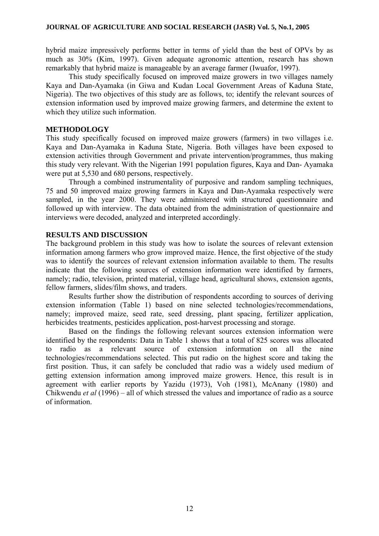hybrid maize impressively performs better in terms of yield than the best of OPVs by as much as 30% (Kim, 1997). Given adequate agronomic attention, research has shown remarkably that hybrid maize is manageable by an average farmer (Iwuafor, 1997).

 This study specifically focused on improved maize growers in two villages namely Kaya and Dan-Ayamaka (in Giwa and Kudan Local Government Areas of Kaduna State, Nigeria). The two objectives of this study are as follows, to; identify the relevant sources of extension information used by improved maize growing farmers, and determine the extent to which they utilize such information.

### **METHODOLOGY**

This study specifically focused on improved maize growers (farmers) in two villages i.e. Kaya and Dan-Ayamaka in Kaduna State, Nigeria. Both villages have been exposed to extension activities through Government and private intervention/programmes, thus making this study very relevant. With the Nigerian 1991 population figures, Kaya and Dan- Ayamaka were put at 5,530 and 680 persons, respectively.

 Through a combined instrumentality of purposive and random sampling techniques, 75 and 50 improved maize growing farmers in Kaya and Dan-Ayamaka respectively were sampled, in the year 2000. They were administered with structured questionnaire and followed up with interview. The data obtained from the administration of questionnaire and interviews were decoded, analyzed and interpreted accordingly.

### **RESULTS AND DISCUSSION**

The background problem in this study was how to isolate the sources of relevant extension information among farmers who grow improved maize. Hence, the first objective of the study was to identify the sources of relevant extension information available to them. The results indicate that the following sources of extension information were identified by farmers, namely; radio, television, printed material, village head, agricultural shows, extension agents, fellow farmers, slides/film shows, and traders.

 Results further show the distribution of respondents according to sources of deriving extension information (Table 1) based on nine selected technologies/recommendations, namely; improved maize, seed rate, seed dressing, plant spacing, fertilizer application, herbicides treatments, pesticides application, post-harvest processing and storage.

Based on the findings the following relevant sources extension information were identified by the respondents: Data in Table 1 shows that a total of 825 scores was allocated to radio as a relevant source of extension information on all the nine technologies/recommendations selected. This put radio on the highest score and taking the first position. Thus, it can safely be concluded that radio was a widely used medium of getting extension information among improved maize growers. Hence, this result is in agreement with earlier reports by Yazidu (1973), Voh (1981), McAnany (1980) and Chikwendu *et al* (1996) – all of which stressed the values and importance of radio as a source of information.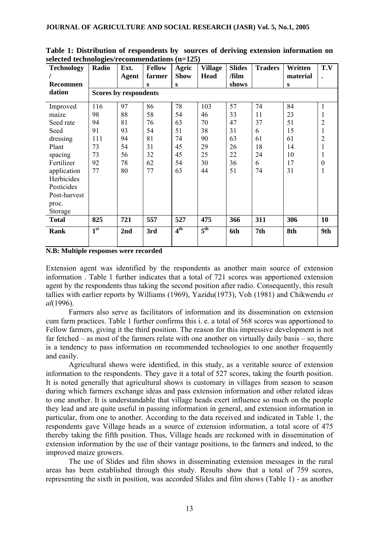| <b>Technology</b><br>Recommen                                                                                                                            | o<br>Radio                                           | Ext.<br>Agent                                      | <b>Fellow</b><br>farmer<br>S                       | Agric<br><b>Show</b><br>S                          | <b>Village</b><br><b>Head</b>                       | <b>Slides</b><br>/film<br>shows                    | <b>Traders</b>                                   | Written<br>material<br>S                           | T.V                |  |
|----------------------------------------------------------------------------------------------------------------------------------------------------------|------------------------------------------------------|----------------------------------------------------|----------------------------------------------------|----------------------------------------------------|-----------------------------------------------------|----------------------------------------------------|--------------------------------------------------|----------------------------------------------------|--------------------|--|
| dation                                                                                                                                                   | <b>Scores by respondents</b>                         |                                                    |                                                    |                                                    |                                                     |                                                    |                                                  |                                                    |                    |  |
| Improved<br>maize<br>Seed rate<br>Seed<br>dressing<br>Plant<br>spacing<br>Fertilizer<br>application<br>Herbicides<br>Pesticides<br>Post-harvest<br>proc. | 116<br>98<br>94<br>91<br>111<br>73<br>73<br>92<br>77 | 97<br>88<br>81<br>93<br>94<br>54<br>56<br>78<br>80 | 86<br>58<br>76<br>54<br>81<br>31<br>32<br>62<br>77 | 78<br>54<br>63<br>51<br>74<br>45<br>45<br>54<br>63 | 103<br>46<br>70<br>38<br>90<br>29<br>25<br>30<br>44 | 57<br>33<br>47<br>31<br>63<br>26<br>22<br>36<br>51 | 74<br>11<br>37<br>6<br>61<br>18<br>24<br>6<br>74 | 84<br>23<br>51<br>15<br>61<br>14<br>10<br>17<br>31 | 2<br>2<br>$\theta$ |  |
| Storage<br><b>Total</b>                                                                                                                                  | 825                                                  | 721                                                | 557                                                | 527                                                | 475                                                 | 366                                                | 311                                              | 306                                                | 10                 |  |
| <b>Rank</b>                                                                                                                                              | 1 <sup>st</sup>                                      | 2nd                                                | 3rd                                                | 4 <sup>th</sup>                                    | $5^{\text{th}}$                                     | 6th                                                | 7th                                              | 8th                                                | 9th                |  |

**Table 1: Distribution of respondents by sources of deriving extension information on selected technologies/recommendations (n=125)**

**N.B: Multiple responses were recorded**

Extension agent was identified by the respondents as another main source of extension information . Table 1 further indicates that a total of 721 scores was apportioned extension agent by the respondents thus taking the second position after radio. Consequently, this result tallies with earlier reports by Williams (1969), Yazidu(1973), Voh (1981) and Chikwendu *et al*(1996).

Farmers also serve as facilitators of information and its dissemination on extension cum farm practices. Table 1 further confirms this i. e. a total of 568 scores was apportioned to Fellow farmers, giving it the third position. The reason for this impressive development is not far fetched – as most of the farmers relate with one another on virtually daily basis – so, there is a tendency to pass information on recommended technologies to one another frequently and easily.

Agricultural shows were identified, in this study, as a veritable source of extension information to the respondents. They gave it a total of 527 scores, taking the fourth position. It is noted generally that agricultural shows is customary in villages from season to season during which farmers exchange ideas and pass extension information and other related ideas to one another. It is understandable that village heads exert influence so much on the people they lead and are quite useful in passing information in general, and extension information in particular, from one to another. According to the data received and indicated in Table 1, the respondents gave Village heads as a source of extension information, a total score of 475 thereby taking the fifth position. Thus, Village heads are reckoned with in dissemination of extension information by the use of their vantage positions, to the farmers and indeed, to the improved maize growers.

The use of Slides and film shows in disseminating extension messages in the rural areas has been established through this study. Results show that a total of 759 scores, representing the sixth in position, was accorded Slides and film shows (Table 1) - as another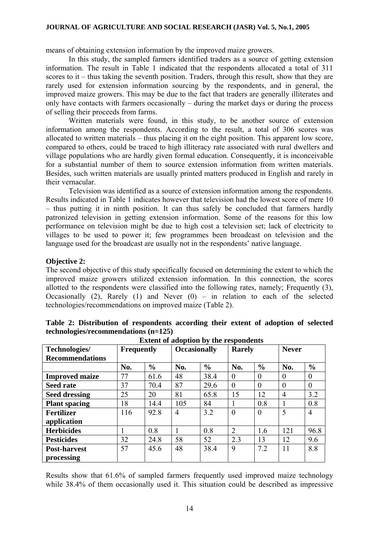means of obtaining extension information by the improved maize growers.

In this study, the sampled farmers identified traders as a source of getting extension information. The result in Table 1 indicated that the respondents allocated a total of 311 scores to it – thus taking the seventh position. Traders, through this result, show that they are rarely used for extension information sourcing by the respondents, and in general, the improved maize growers. This may be due to the fact that traders are generally illiterates and only have contacts with farmers occasionally – during the market days or during the process of selling their proceeds from farms.

Written materials were found, in this study, to be another source of extension information among the respondents. According to the result, a total of 306 scores was allocated to written materials – thus placing it on the eight position. This apparent low score, compared to others, could be traced to high illiteracy rate associated with rural dwellers and village populations who are hardly given formal education. Consequently, it is inconceivable for a substantial number of them to source extension information from written materials. Besides, such written materials are usually printed matters produced in English and rarely in their vernacular.

Television was identified as a source of extension information among the respondents. Results indicated in Table 1 indicates however that television had the lowest score of mere 10 – thus putting it in ninth position. It can thus safely be concluded that farmers hardly patronized television in getting extension information. Some of the reasons for this low performance on television might be due to high cost a television set; lack of electricity to villages to be used to power it; few programmes been broadcast on television and the language used for the broadcast are usually not in the respondents' native language.

### **Objective 2:**

The second objective of this study specifically focused on determining the extent to which the improved maize growers utilized extension information. In this connection, the scores allotted to the respondents were classified into the following rates, namely; Frequently (3), Occasionally (2), Rarely (1) and Never  $(0)$  – in relation to each of the selected technologies/recommendations on improved maize (Table 2).

**Table 2: Distribution of respondents according their extent of adoption of selected** 

| <b>EXTERN</b> of adoption by the respondents |                   |               |                     |               |                |               |                |                |  |  |  |
|----------------------------------------------|-------------------|---------------|---------------------|---------------|----------------|---------------|----------------|----------------|--|--|--|
| Technologies/                                | <b>Frequently</b> |               | <b>Occasionally</b> |               | <b>Rarely</b>  |               | <b>Never</b>   |                |  |  |  |
| <b>Recommendations</b>                       |                   |               |                     |               |                |               |                |                |  |  |  |
|                                              | No.               | $\frac{6}{6}$ | No.                 | $\frac{0}{0}$ | No.            | $\frac{6}{6}$ | No.            | $\frac{6}{6}$  |  |  |  |
| <b>Improved maize</b>                        | 77                | 61.6          | 48                  | 38.4          | $\theta$       | $\Omega$      | $\Omega$       | $\Omega$       |  |  |  |
| <b>Seed rate</b>                             | 37                | 70.4          | 87                  | 29.6          | $\theta$       | $\theta$      | $\theta$       | $\theta$       |  |  |  |
| <b>Seed dressing</b>                         | 25                | 20            | 81                  | 65.8          | 15             | 12            | $\overline{4}$ | 3.2            |  |  |  |
| <b>Plant spacing</b>                         | 18                | 14.4          | 105                 | 84            |                | 0.8           |                | 0.8            |  |  |  |
| <b>Fertilizer</b>                            | 116               | 92.8          | $\overline{4}$      | 3.2           | $\theta$       | $\theta$      | 5              | $\overline{4}$ |  |  |  |
| application                                  |                   |               |                     |               |                |               |                |                |  |  |  |
| <b>Herbicides</b>                            |                   | 0.8           |                     | 0.8           | $\overline{2}$ | 1.6           | 121            | 96.8           |  |  |  |
| <b>Pesticides</b>                            | 32                | 24.8          | 58                  | 52            | 2.3            | 13            | 12             | 9.6            |  |  |  |
| <b>Post-harvest</b>                          | 57                | 45.6          | 48                  | 38.4          | 9              | 7.2           | 11             | 8.8            |  |  |  |
| processing                                   |                   |               |                     |               |                |               |                |                |  |  |  |

**technologies/recommendations (n=125) Extent of adoption by the respondents**

Results show that 61.6% of sampled farmers frequently used improved maize technology while 38.4% of them occasionally used it. This situation could be described as impressive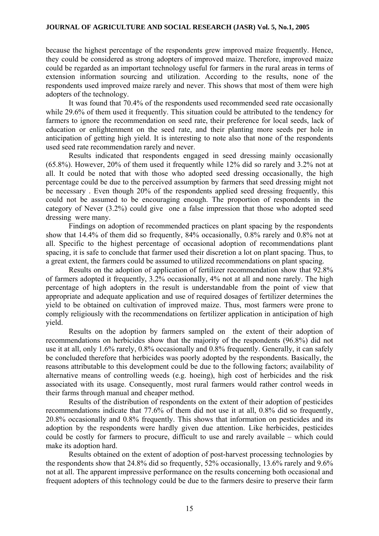because the highest percentage of the respondents grew improved maize frequently. Hence, they could be considered as strong adopters of improved maize. Therefore, improved maize could be regarded as an important technology useful for farmers in the rural areas in terms of extension information sourcing and utilization. According to the results, none of the respondents used improved maize rarely and never. This shows that most of them were high adopters of the technology.

It was found that 70.4% of the respondents used recommended seed rate occasionally while 29.6% of them used it frequently. This situation could be attributed to the tendency for farmers to ignore the recommendation on seed rate, their preference for local seeds, lack of education or enlightenment on the seed rate, and their planting more seeds per hole in anticipation of getting high yield. It is interesting to note also that none of the respondents used seed rate recommendation rarely and never.

Results indicated that respondents engaged in seed dressing mainly occasionally (65.8%). However, 20% of them used it frequently while 12% did so rarely and 3.2% not at all. It could be noted that with those who adopted seed dressing occasionally, the high percentage could be due to the perceived assumption by farmers that seed dressing might not be necessary . Even though 20% of the respondents applied seed dressing frequently, this could not be assumed to be encouraging enough. The proportion of respondents in the category of Never (3.2%) could give one a false impression that those who adopted seed dressing were many.

Findings on adoption of recommended practices on plant spacing by the respondents show that 14.4% of them did so frequently, 84% occasionally, 0.8% rarely and 0.8% not at all. Specific to the highest percentage of occasional adoption of recommendations plant spacing, it is safe to conclude that farmer used their discretion a lot on plant spacing. Thus, to a great extent, the farmers could be assumed to utilized recommendations on plant spacing.

Results on the adoption of application of fertilizer recommendation show that 92.8% of farmers adopted it frequently, 3.2% occasionally, 4% not at all and none rarely. The high percentage of high adopters in the result is understandable from the point of view that appropriate and adequate application and use of required dosages of fertilizer determines the yield to be obtained on cultivation of improved maize. Thus, most farmers were prone to comply religiously with the recommendations on fertilizer application in anticipation of high yield.

Results on the adoption by farmers sampled on the extent of their adoption of recommendations on herbicides show that the majority of the respondents (96.8%) did not use it at all, only 1.6% rarely, 0.8% occasionally and 0.8% frequently. Generally, it can safely be concluded therefore that herbicides was poorly adopted by the respondents. Basically, the reasons attributable to this development could be due to the following factors; availability of alternative means of controlling weeds (e.g. hoeing), high cost of herbicides and the risk associated with its usage. Consequently, most rural farmers would rather control weeds in their farms through manual and cheaper method.

Results of the distribution of respondents on the extent of their adoption of pesticides recommendations indicate that 77.6% of them did not use it at all, 0.8% did so frequently, 20.8% occasionally and 0.8% frequently. This shows that information on pesticides and its adoption by the respondents were hardly given due attention. Like herbicides, pesticides could be costly for farmers to procure, difficult to use and rarely available – which could make its adoption hard.

Results obtained on the extent of adoption of post-harvest processing technologies by the respondents show that 24.8% did so frequently, 52% occasionally, 13.6% rarely and 9.6% not at all. The apparent impressive performance on the results concerning both occasional and frequent adopters of this technology could be due to the farmers desire to preserve their farm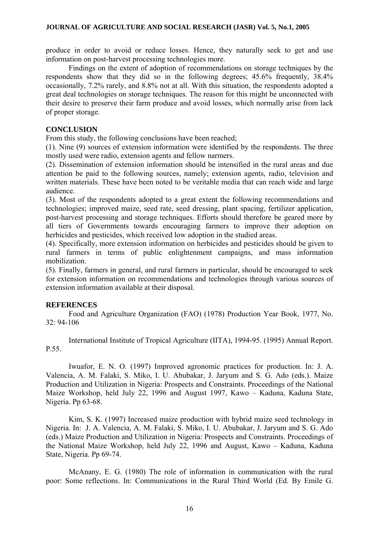produce in order to avoid or reduce losses. Hence, they naturally seek to get and use information on post-harvest processing technologies more.

Findings on the extent of adoption of recommendations on storage techniques by the respondents show that they did so in the following degrees; 45.6% frequently, 38.4% occasionally, 7.2% rarely, and 8.8% not at all. With this situation, the respondents adopted a great deal technologies on storage techniques. The reason for this might be unconnected with their desire to preserve their farm produce and avoid losses, which normally arise from lack of proper storage.

### **CONCLUSION**

From this study, the following conclusions have been reached;

(1). Nine (9) sources of extension information were identified by the respondents. The three mostly used were radio, extension agents and fellow narmers.

(2). Dissemination of extension information should be intensified in the rural areas and due attention be paid to the following sources, namely; extension agents, radio, television and written materials. These have been noted to be veritable media that can reach wide and large audience.

(3). Most of the respondents adopted to a great extent the following recommendations and technologies; improved maize, seed rate, seed dressing, plant spacing, fertilizer application, post-harvest processing and storage techniques. Efforts should therefore be geared more by all tiers of Governments towards encouraging farmers to improve their adoption on herbicides and pesticides, which received low adoption in the studied areas.

(4). Specifically, more extension information on herbicides and pesticides should be given to rural farmers in terms of public enlightenment campaigns, and mass information mobilization.

(5). Finally, farmers in general, and rural farmers in particular, should be encouraged to seek for extension information on recommendations and technologies through various sources of extension information available at their disposal.

# **REFERENCES**

Food and Agriculture Organization (FAO) (1978) Production Year Book, 1977, No. 32: 94-106

International Institute of Tropical Agriculture (IITA), 1994-95. (1995) Annual Report. P.55.

Iwuafor, E. N. O. (1997) Improved agronomic practices for production. In: J. A. Valencia, A. M. Falaki, S. Miko, I. U. Abubakar, J. Jaryum and S. G. Ado (eds.). Maize Production and Utilization in Nigeria: Prospects and Constraints. Proceedings of the National Maize Workshop, held July 22, 1996 and August 1997, Kawo – Kaduna, Kaduna State, Nigeria. Pp 63-68.

Kim, S. K. (1997) Increased maize production with hybrid maize seed technology in Nigeria. In: J. A. Valencia, A. M. Falaki, S. Miko, I. U. Abubakar, J. Jaryum and S. G. Ado (eds.) Maize Production and Utilization in Nigeria: Prospects and Constraints. Proceedings of the National Maize Workshop, held July 22, 1996 and August, Kawo – Kaduna, Kaduna State, Nigeria. Pp 69-74.

McAnany, E. G. (1980) The role of information in communication with the rural poor: Some reflections. In: Communications in the Rural Third World (Ed. By Emile G.